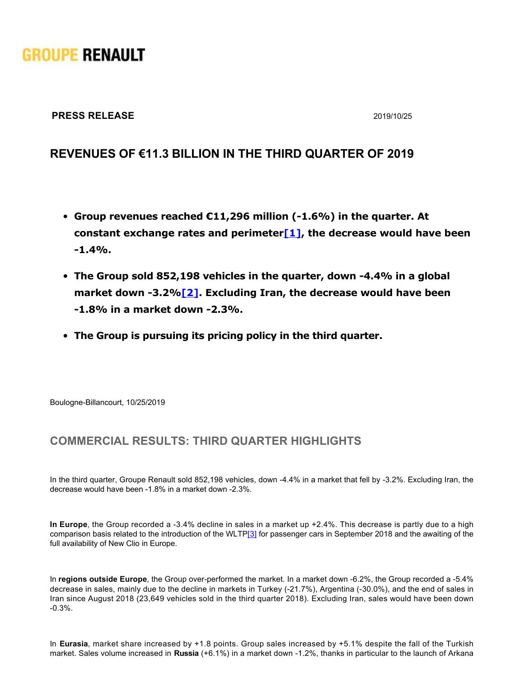# **GROUPE RENAULT**

#### **PRESS RELEASE** 2019/10/25

# **REVENUES OF €11.3 BILLION IN THE THIRD QUARTER OF 2019**

- **Group revenues reached €11,296 million (-1.6%) in the quarter. At constant exchange rates and perimeter[\[1\]](https://grouperenault-my.sharepoint.com/personal/laura-anissa_casellas-extern_renault_com/Documents/Publications/Communiqu�s/2510 - DUMONCEAU Delphine - r�sultats/20191025_PR_Q3_GROUPE RENAULT VDEF.docx#_ftn1), the decrease would have been 1.4%.**
- The Group sold 852,198 vehicles in the quarter, down -4.4% in a global **market down 3.2%[\[2\]](https://grouperenault-my.sharepoint.com/personal/laura-anissa_casellas-extern_renault_com/Documents/Publications/Communiqu�s/2510 - DUMONCEAU Delphine - r�sultats/20191025_PR_Q3_GROUPE RENAULT VDEF.docx#_ftn2). Excluding Iran, the decrease would have been 1.8% in a market down 2.3%.**
- **The Group is pursuing its pricing policy in the third quarter.**

Boulogne-Billancourt, 10/25/2019

## **COMMERCIAL RESULTS: THIRD QUARTER HIGHLIGHTS**

In the third quarter, Groupe Renault sold 852,198 vehicles, down -4.4% in a market that fell by -3.2%. Excluding Iran, the decrease would have been -1.8% in a market down -2.3%.

**In Europe**, the Group recorded a 3.4% decline in sales in a market up +2.4%. This decrease is partly due to a high comparison basis related to the introduction of the WLT[P\[3\]](https://grouperenault-my.sharepoint.com/personal/laura-anissa_casellas-extern_renault_com/Documents/Publications/Communiqu�s/2510 - DUMONCEAU Delphine - r�sultats/20191025_PR_Q3_GROUPE RENAULT VDEF.docx#_ftn3) for passenger cars in September 2018 and the awaiting of the full availability of New Clio in Europe.

In **regions outside Europe**, the Group over-performed the market. In a market down -6.2%, the Group recorded a -5.4% decrease in sales, mainly due to the decline in markets in Turkey (-21.7%), Argentina (-30.0%), and the end of sales in Iran since August 2018 (23,649 vehicles sold in the third quarter 2018). Excluding Iran, sales would have been down 0.3%.

In **Eurasia**, market share increased by +1.8 points. Group sales increased by +5.1% despite the fall of the Turkish market. Sales volume increased in **Russia** (+6.1%) in a market down -1.2%, thanks in particular to the launch of Arkana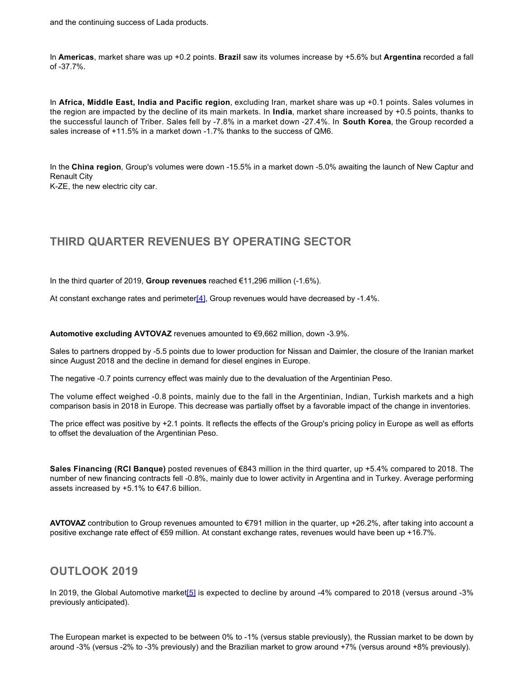In **Americas**, market share was up +0.2 points. **Brazil** saw its volumes increase by +5.6% but **Argentina** recorded a fall of 37.7%.

market. Sales volume increased in **Russia** (+6.1%) in a market down 1.2%, thanks in particular to the launch of Arkana

In **Africa, Middle East, India and Pacific region**, excluding Iran, market share was up +0.1 points. Sales volumes in the region are impacted by the decline of its main markets. In **India**, market share increased by +0.5 points, thanks to the successful launch of Triber. Sales fell by -7.8% in a market down -27.4%. In **South Korea**, the Group recorded a sales increase of +11.5% in a market down -1.7% thanks to the success of QM6.

In the **China region**, Group's volumes were down 15.5% in a market down 5.0% awaiting the launch of New Captur and Renault City

K-ZE, the new electric city car.

## **THIRD QUARTER REVENUES BY OPERATING SECTOR**

In the third quarter of 2019, **Group revenues** reached €11,296 million (1.6%).

At constant exchange rates and perimeter[\[4\]](https://grouperenault-my.sharepoint.com/personal/laura-anissa_casellas-extern_renault_com/Documents/Publications/Communiqu�s/2510 - DUMONCEAU Delphine - r�sultats/20191025_PR_Q3_GROUPE RENAULT VDEF.docx#_ftn4), Group revenues would have decreased by -1.4%.

**Automotive excluding AVTOVAZ** revenues amounted to €9,662 million, down 3.9%.

Sales to partners dropped by 5.5 points due to lower production for Nissan and Daimler, the closure of the Iranian market since August 2018 and the decline in demand for diesel engines in Europe.

The negative -0.7 points currency effect was mainly due to the devaluation of the Argentinian Peso.

The volume effect weighed -0.8 points, mainly due to the fall in the Argentinian, Indian, Turkish markets and a high comparison basis in 2018 in Europe. This decrease was partially offset by a favorable impact of the change in inventories.

The price effect was positive by +2.1 points. It reflects the effects of the Group's pricing policy in Europe as well as efforts to offset the devaluation of the Argentinian Peso.

**Sales Financing (RCI Banque)** posted revenues of €843 million in the third quarter, up +5.4% compared to 2018. The number of new financing contracts fell -0.8%, mainly due to lower activity in Argentina and in Turkey. Average performing assets increased by  $+5.1\%$  to €47.6 billion.

**AVTOVAZ** contribution to Group revenues amounted to €791 million in the quarter, up +26.2%, after taking into account a positive exchange rate effect of €59 million. At constant exchange rates, revenues would have been up +16.7%.

#### **OUTLOOK 2019**

In 2019, the Global Automotive marke[t\[5\]](https://grouperenault-my.sharepoint.com/personal/laura-anissa_casellas-extern_renault_com/Documents/Publications/Communiqu�s/2510 - DUMONCEAU Delphine - r�sultats/20191025_PR_Q3_GROUPE RENAULT VDEF.docx#_ftn5) is expected to decline by around 4% compared to 2018 (versus around 3% previously anticipated).

The European market is expected to be between 0% to 1% (versus stable previously), the Russian market to be down by around 3% (versus 2% to 3% previously) and the Brazilian market to grow around +7% (versus around +8% previously).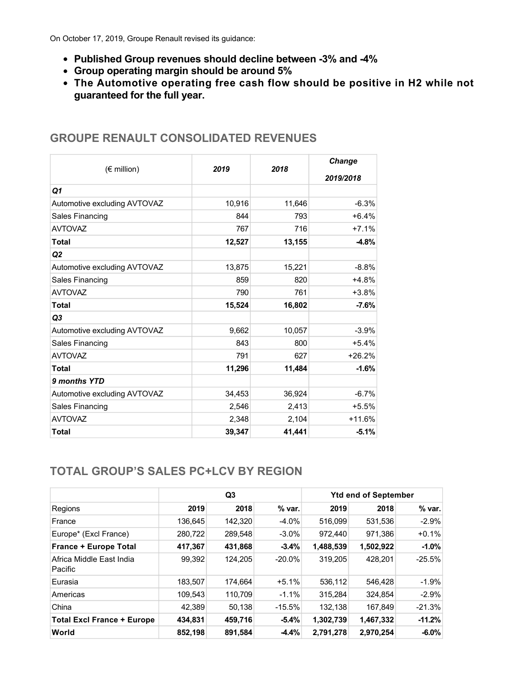On October 17, 2019, Groupe Renault revised its guidance:

- **Published Group revenues should decline between 3% and 4%**
- **Group operating margin should be around 5%**
- **The Automotive operating free cash flow should be positive in H2 while not guaranteed for the full year.**

| $(\epsilon$ million)         | 2019   | 2018   | Change<br>2019/2018 |  |
|------------------------------|--------|--------|---------------------|--|
| Q1                           |        |        |                     |  |
| Automotive excluding AVTOVAZ | 10,916 | 11,646 | $-6.3%$             |  |
| Sales Financing              | 844    | 793    | $+6.4%$             |  |
| <b>AVTOVAZ</b>               | 767    | 716    | $+7.1%$             |  |
| <b>Total</b>                 | 12,527 | 13,155 | $-4.8%$             |  |
| Q2                           |        |        |                     |  |
| Automotive excluding AVTOVAZ | 13,875 | 15,221 | $-8.8%$             |  |
| Sales Financing              | 859    | 820    | $+4.8%$             |  |
| <b>AVTOVAZ</b>               | 790    | 761    | $+3.8%$             |  |
| <b>Total</b>                 | 15,524 | 16,802 | $-7.6%$             |  |
| Q3                           |        |        |                     |  |
| Automotive excluding AVTOVAZ | 9,662  | 10,057 | $-3.9%$             |  |
| Sales Financing              | 843    | 800    | $+5.4%$             |  |
| <b>AVTOVAZ</b>               | 791    | 627    | $+26.2%$            |  |
| <b>Total</b>                 | 11,296 | 11,484 | $-1.6%$             |  |
| 9 months YTD                 |        |        |                     |  |
| Automotive excluding AVTOVAZ | 34,453 | 36,924 | $-6.7%$             |  |
| Sales Financing              | 2,546  | 2,413  | $+5.5%$             |  |
| <b>AVTOVAZ</b>               | 2,348  | 2,104  | $+11.6%$            |  |
| <b>Total</b>                 | 39,347 | 41,441 | $-5.1%$             |  |

### **GROUPE RENAULT CONSOLIDATED REVENUES**

## **TOTAL GROUP'S SALES PC+LCV BY REGION**

|                                     | Q3      |         |           | <b>Ytd end of September</b> |           |          |
|-------------------------------------|---------|---------|-----------|-----------------------------|-----------|----------|
| Regions                             | 2019    | 2018    | % var.    | 2019                        | 2018      | % var.   |
| France                              | 136,645 | 142,320 | $-4.0%$   | 516,099                     | 531,536   | $-2.9%$  |
| Europe* (Excl France)               | 280,722 | 289,548 | $-3.0\%$  | 972,440                     | 971,386   | $+0.1%$  |
| <b>France + Europe Total</b>        | 417,367 | 431,868 | $-3.4%$   | 1,488,539                   | 1,502,922 | $-1.0%$  |
| Africa Middle East India<br>Pacific | 99.392  | 124,205 | $-20.0\%$ | 319,205                     | 428.201   | $-25.5%$ |
| Eurasia                             | 183,507 | 174,664 | $+5.1%$   | 536,112                     | 546,428   | $-1.9%$  |
| Americas                            | 109.543 | 110,709 | $-1.1%$   | 315,284                     | 324.854   | $-2.9%$  |
| China                               | 42.389  | 50.138  | $-15.5%$  | 132.138                     | 167.849   | $-21.3%$ |
| <b>Total Excl France + Europe</b>   | 434,831 | 459,716 | $-5.4%$   | 1,302,739                   | 1,467,332 | $-11.2%$ |
| World                               | 852,198 | 891,584 | $-4.4%$   | 2,791,278                   | 2,970,254 | $-6.0%$  |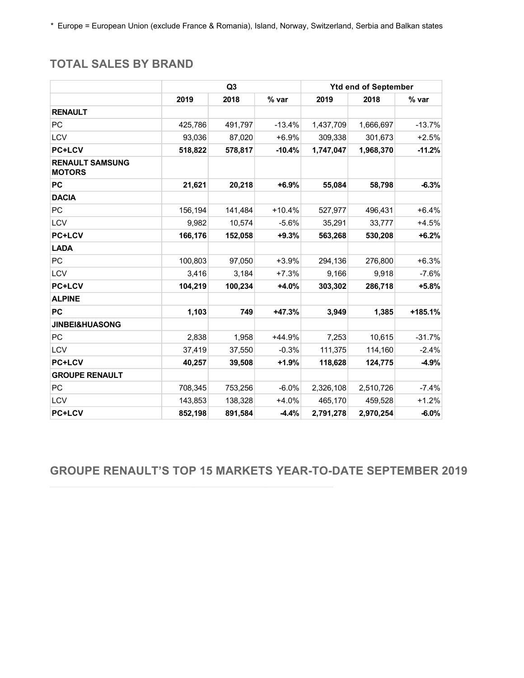*\**  Europe = European Union (exclude France & Romania), Island, Norway, Switzerland, Serbia and Balkan states

# **TOTAL SALES BY BRAND**

|                                         |         | Q <sub>3</sub> |          |           | <b>Ytd end of September</b> |          |  |
|-----------------------------------------|---------|----------------|----------|-----------|-----------------------------|----------|--|
|                                         | 2019    | 2018           | % var    | 2019      | 2018                        | % var    |  |
| <b>RENAULT</b>                          |         |                |          |           |                             |          |  |
| <b>PC</b>                               | 425,786 | 491,797        | $-13.4%$ | 1,437,709 | 1,666,697                   | $-13.7%$ |  |
| <b>LCV</b>                              | 93,036  | 87,020         | $+6.9%$  | 309,338   | 301,673                     | $+2.5%$  |  |
| <b>PC+LCV</b>                           | 518,822 | 578,817        | $-10.4%$ | 1,747,047 | 1,968,370                   | $-11.2%$ |  |
| <b>RENAULT SAMSUNG</b><br><b>MOTORS</b> |         |                |          |           |                             |          |  |
| <b>PC</b>                               | 21,621  | 20,218         | $+6.9%$  | 55,084    | 58,798                      | $-6.3%$  |  |
| <b>DACIA</b>                            |         |                |          |           |                             |          |  |
| PC                                      | 156,194 | 141,484        | $+10.4%$ | 527,977   | 496,431                     | $+6.4%$  |  |
| <b>LCV</b>                              | 9,982   | 10,574         | $-5.6%$  | 35,291    | 33,777                      | $+4.5%$  |  |
| <b>PC+LCV</b>                           | 166,176 | 152,058        | $+9.3%$  | 563,268   | 530,208                     | $+6.2%$  |  |
| <b>LADA</b>                             |         |                |          |           |                             |          |  |
| PC                                      | 100,803 | 97,050         | $+3.9%$  | 294,136   | 276,800                     | $+6.3%$  |  |
| LCV                                     | 3,416   | 3,184          | $+7.3%$  | 9,166     | 9,918                       | $-7.6%$  |  |
| <b>PC+LCV</b>                           | 104,219 | 100,234        | +4.0%    | 303,302   | 286,718                     | $+5.8%$  |  |
| <b>ALPINE</b>                           |         |                |          |           |                             |          |  |
| <b>PC</b>                               | 1,103   | 749            | +47.3%   | 3,949     | 1,385                       | +185.1%  |  |
| <b>JINBEI&amp;HUASONG</b>               |         |                |          |           |                             |          |  |
| PC                                      | 2,838   | 1,958          | $+44.9%$ | 7,253     | 10,615                      | $-31.7%$ |  |
| LCV                                     | 37,419  | 37,550         | $-0.3%$  | 111,375   | 114,160                     | $-2.4%$  |  |
| <b>PC+LCV</b>                           | 40,257  | 39,508         | +1.9%    | 118,628   | 124,775                     | $-4.9%$  |  |
| <b>GROUPE RENAULT</b>                   |         |                |          |           |                             |          |  |
| PC                                      | 708,345 | 753,256        | $-6.0%$  | 2,326,108 | 2,510,726                   | $-7.4%$  |  |
| <b>LCV</b>                              | 143,853 | 138,328        | $+4.0%$  | 465,170   | 459,528                     | $+1.2%$  |  |
| <b>PC+LCV</b>                           | 852,198 | 891,584        | $-4.4%$  | 2,791,278 | 2,970,254                   | $-6.0%$  |  |

**GROUPE RENAULT'S TOP 15 MARKETS YEAR-TO-DATE SEPTEMBER 2019**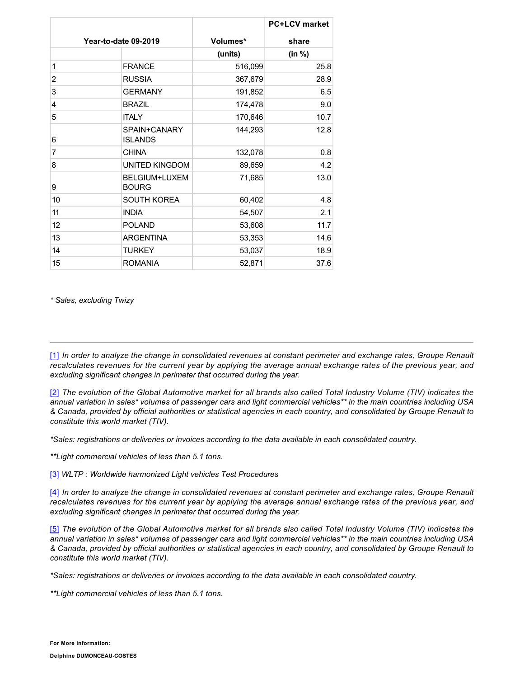|                      |                                |          | <b>PC+LCV</b> market |
|----------------------|--------------------------------|----------|----------------------|
| Year-to-date 09-2019 |                                | Volumes* | share                |
|                      |                                | (units)  | (in %)               |
| 1                    | <b>FRANCE</b>                  | 516,099  | 25.8                 |
| 2                    | <b>RUSSIA</b>                  | 367,679  | 28.9                 |
| 3                    | <b>GERMANY</b>                 | 191,852  | 6.5                  |
| 4                    | <b>BRAZIL</b>                  | 174,478  | 9.0                  |
| 5                    | <b>ITALY</b>                   | 170,646  | 10.7                 |
| 6                    | SPAIN+CANARY<br><b>ISLANDS</b> | 144,293  | 12.8                 |
| 7                    | <b>CHINA</b>                   | 132,078  | 0.8                  |
| 8                    | <b>UNITED KINGDOM</b>          | 89,659   | 4.2                  |
| 9                    | BELGIUM+LUXEM<br><b>BOURG</b>  | 71,685   | 13.0                 |
| 10                   | <b>SOUTH KOREA</b>             | 60,402   | 4.8                  |
| 11                   | <b>INDIA</b>                   | 54,507   | 2.1                  |
| 12                   | <b>POLAND</b>                  | 53,608   | 11.7                 |
| 13                   | <b>ARGENTINA</b>               | 53,353   | 14.6                 |
| 14                   | <b>TURKEY</b>                  | 53,037   | 18.9                 |
| 15                   | <b>ROMANIA</b>                 | 52,871   | 37.6                 |

*\* Sales, excluding Twizy*

[\[1\]](https://grouperenault-my.sharepoint.com/personal/laura-anissa_casellas-extern_renault_com/Documents/Publications/Communiqu�s/2510 - DUMONCEAU Delphine - r�sultats/20191025_PR_Q3_GROUPE RENAULT VDEF.docx#_ftnref1) *In order to analyze the change in consolidated revenues at constant perimeter and exchange rates, Groupe Renault recalculates revenues for the current year by applying the average annual exchange rates of the previous year, and excluding significant changes in perimeter that occurred during the year.*

[\[2\]](https://grouperenault-my.sharepoint.com/personal/laura-anissa_casellas-extern_renault_com/Documents/Publications/Communiqu�s/2510 - DUMONCEAU Delphine - r�sultats/20191025_PR_Q3_GROUPE RENAULT VDEF.docx#_ftnref2) *The evolution of the Global Automotive market for all brands also called Total Industry Volume (TIV) indicates the annual variation in sales\* volumes of passenger cars and light commercial vehicles\*\* in the main countries including USA & Canada, provided by official authorities or statistical agencies in each country, and consolidated by Groupe Renault to constitute this world market (TIV).*

*\*Sales: registrations or deliveries or invoices according to the data available in each consolidated country.*

*\*\*Light commercial vehicles of less than 5.1 tons.*

[\[3\]](https://grouperenault-my.sharepoint.com/personal/laura-anissa_casellas-extern_renault_com/Documents/Publications/Communiqu�s/2510 - DUMONCEAU Delphine - r�sultats/20191025_PR_Q3_GROUPE RENAULT VDEF.docx#_ftnref3) *WLTP : Worldwide harmonized Light vehicles Test Procedures*

[\[4\]](https://grouperenault-my.sharepoint.com/personal/laura-anissa_casellas-extern_renault_com/Documents/Publications/Communiqu�s/2510 - DUMONCEAU Delphine - r�sultats/20191025_PR_Q3_GROUPE RENAULT VDEF.docx#_ftnref4) *In order to analyze the change in consolidated revenues at constant perimeter and exchange rates, Groupe Renault recalculates revenues for the current year by applying the average annual exchange rates of the previous year, and excluding significant changes in perimeter that occurred during the year.*

[\[5\]](https://grouperenault-my.sharepoint.com/personal/laura-anissa_casellas-extern_renault_com/Documents/Publications/Communiqu�s/2510 - DUMONCEAU Delphine - r�sultats/20191025_PR_Q3_GROUPE RENAULT VDEF.docx#_ftnref5) *The evolution of the Global Automotive market for all brands also called Total Industry Volume (TIV) indicates the annual variation in sales\* volumes of passenger cars and light commercial vehicles\*\* in the main countries including USA & Canada, provided by official authorities or statistical agencies in each country, and consolidated by Groupe Renault to constitute this world market (TIV).*

*\*Sales: registrations or deliveries or invoices according to the data available in each consolidated country.*

*\*\*Light commercial vehicles of less than 5.1 tons.*